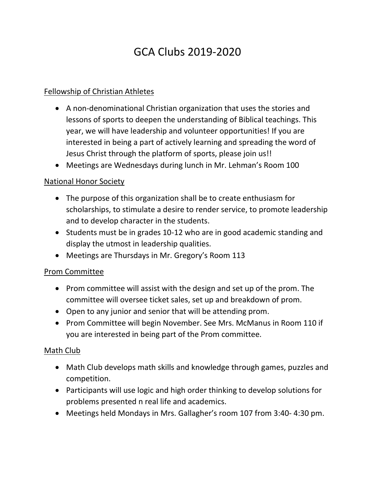# GCA Clubs 2019-2020

## Fellowship of Christian Athletes

- A non-denominational Christian organization that uses the stories and lessons of sports to deepen the understanding of Biblical teachings. This year, we will have leadership and volunteer opportunities! If you are interested in being a part of actively learning and spreading the word of Jesus Christ through the platform of sports, please join us!!
- Meetings are Wednesdays during lunch in Mr. Lehman's Room 100

# National Honor Society

- The purpose of this organization shall be to create enthusiasm for scholarships, to stimulate a desire to render service, to promote leadership and to develop character in the students.
- Students must be in grades 10-12 who are in good academic standing and display the utmost in leadership qualities.
- Meetings are Thursdays in Mr. Gregory's Room 113

## Prom Committee

- Prom committee will assist with the design and set up of the prom. The committee will oversee ticket sales, set up and breakdown of prom.
- Open to any junior and senior that will be attending prom.
- Prom Committee will begin November. See Mrs. McManus in Room 110 if you are interested in being part of the Prom committee.

## Math Club

- Math Club develops math skills and knowledge through games, puzzles and competition.
- Participants will use logic and high order thinking to develop solutions for problems presented n real life and academics.
- Meetings held Mondays in Mrs. Gallagher's room 107 from 3:40- 4:30 pm.